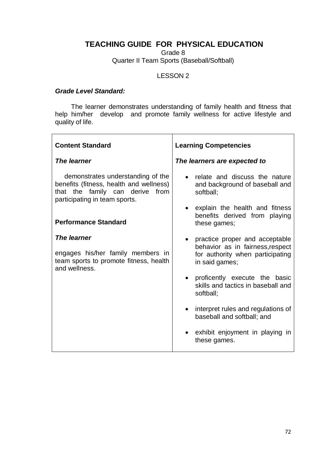## **TEACHING GUIDE FOR PHYSICAL EDUCATION**

Grade 8

Quarter II Team Sports (Baseball/Softball)

## LESSON 2

## *Grade Level Standard:*

The learner demonstrates understanding of family health and fitness that help him/her develop and promote family wellness for active lifestyle and quality of life.

| <b>Content Standard</b>                                                                                                                          | <b>Learning Competencies</b>                                                                                               |
|--------------------------------------------------------------------------------------------------------------------------------------------------|----------------------------------------------------------------------------------------------------------------------------|
| <b>The learner</b>                                                                                                                               | The learners are expected to                                                                                               |
| demonstrates understanding of the<br>benefits (fitness, health and wellness)<br>that the family can derive from<br>participating in team sports. | relate and discuss the nature<br>and background of baseball and<br>softball;                                               |
| <b>Performance Standard</b>                                                                                                                      | explain the health and fitness<br>benefits derived from playing<br>these games;                                            |
| The learner<br>engages his/her family members in<br>team sports to promote fitness, health<br>and wellness.                                      | • practice proper and acceptable<br>behavior as in fairness, respect<br>for authority when participating<br>in said games; |
|                                                                                                                                                  | proficently execute the basic<br>skills and tactics in baseball and<br>softball;                                           |
|                                                                                                                                                  | interpret rules and regulations of<br>baseball and softball; and                                                           |
|                                                                                                                                                  | exhibit enjoyment in playing in<br>these games.                                                                            |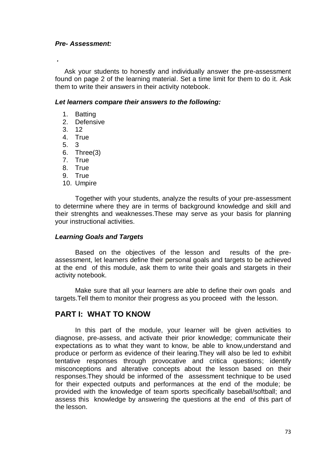### *Pre- Assessment:*

*.*

 Ask your students to honestly and individually answer the pre-assessment found on page 2 of the learning material. Set a time limit for them to do it. Ask them to write their answers in their activity notebook.

### *Let learners compare their answers to the following:*

- 1. Batting
- 2. Defensive
- 3. 12
- 4. True
- 5. 3
- 6. Three(3)
- 7. True
- 8. True
- 9. True
- 10. Umpire

Together with your students, analyze the results of your pre-assessment to determine where they are in terms of background knowledge and skill and their strenghts and weaknesses.These may serve as your basis for planning your instructional activities.

#### *Learning Goals and Targets*

Based on the objectives of the lesson and results of the preassessment, let learners define their personal goals and targets to be achieved at the end of this module, ask them to write their goals and stargets in their activity notebook.

Make sure that all your learners are able to define their own goals and targets.Tell them to monitor their progress as you proceed with the lesson.

## **PART I: WHAT TO KNOW**

In this part of the module, your learner will be given activities to diagnose, pre-assess, and activate their prior knowledge; communicate their expectations as to what they want to know, be able to know,understand and produce or perform as evidence of their learing.They will also be led to exhibit tentative responses through provocative and critica questions; identify misconceptions and alterative concepts about the lesson based on their responses.They should be informed of the assessment technique to be used for their expected outputs and performances at the end of the module; be provided with the knowledge of team sports specifically baseball/softball; and assess this knowledge by answering the questions at the end of this part of the lesson.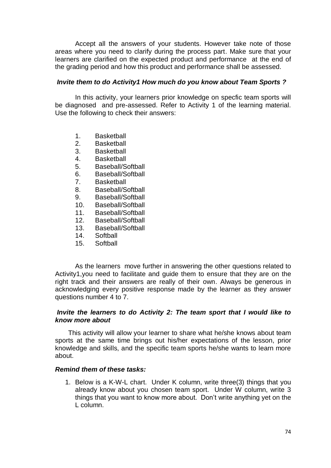Accept all the answers of your students. However take note of those areas where you need to clarify during the process part. Make sure that your learners are clarified on the expected product and performance at the end of the grading period and how this product and performance shall be assessed.

### *Invite them to do Activity1 How much do you know about Team Sports ?*

In this activity, your learners prior knowledge on specfic team sports will be diagnosed and pre-assessed. Refer to Activity 1 of the learning material. Use the following to check their answers:

- 1. Basketball
- 2. Basketball
- 3. Basketball
- 4. Basketball
- 5. Baseball/Softball
- 6. Baseball/Softball
- 7. Basketball
- 8. Baseball/Softball
- 9. Baseball/Softball
- 10. Baseball/Softball
- 11. Baseball/Softball
- 12. Baseball/Softball
- 13. Baseball/Softball
- 14. Softball
- 15. Softball

As the learners move further in answering the other questions related to Activity1,you need to facilitate and guide them to ensure that they are on the right track and their answers are really of their own. Always be generous in acknowledging every positive response made by the learner as they answer questions number 4 to 7.

### *Invite the learners to do Activity 2: The team sport that I would like to know more about*

 This activity will allow your learner to share what he/she knows about team sports at the same time brings out his/her expectations of the lesson, prior knowledge and skills, and the specific team sports he/she wants to learn more about.

## *Remind them of these tasks:*

1. Below is a K-W-L chart. Under K column, write three(3) things that you already know about you chosen team sport. Under W column, write 3 things that you want to know more about. Don't write anything yet on the L column.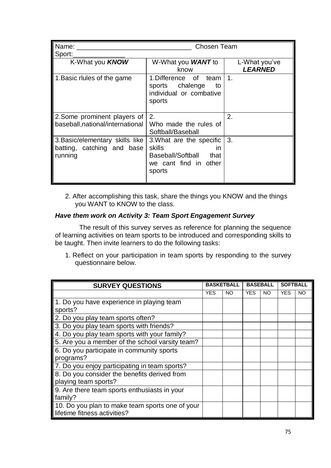| Name:<br>Sport:                                                          | Chosen Team                                                                                               |                                 |  |  |
|--------------------------------------------------------------------------|-----------------------------------------------------------------------------------------------------------|---------------------------------|--|--|
| K-What you <b>KNOW</b>                                                   | W-What you <b>WANT</b> to<br>know                                                                         | L-What you've<br><b>LEARNED</b> |  |  |
| 1. Basic rlules of the game                                              | 1.Difference of team<br>chalenge to<br>sports<br>individual or combative<br>sports                        | $\mathbf 1$ .                   |  |  |
| 2. Some prominent players of<br>baseball, national/international         | 2.<br>Who made the rules of<br>Softball/Baseball                                                          | 2.                              |  |  |
| 3. Basic/elementary skills like<br>batting, catching and base<br>running | 3. What are the specific<br>skills<br>in.<br>Baseball/Softball<br>that<br>we cant find in other<br>sports | 3.                              |  |  |

2. After accomplishing this task, share the things you KNOW and the things you WANT to KNOW to the class.

## *Have them work on Activity 3: Team Sport Engagement Survey*

The result of this survey serves as reference for planning the sequence of learning activities on team sports to be introduced and corresponding skills to be taught. Then invite learners to do the following tasks:

1. Reflect on your participation in team sports by responding to the survey questionnaire below.

| <b>SURVEY QUESTIONS</b>                                                         |      | <b>BASKETBALL</b> |            | <b>BASEBALL</b> |      | <b>SOFTBALL</b> |  |
|---------------------------------------------------------------------------------|------|-------------------|------------|-----------------|------|-----------------|--|
|                                                                                 | YES. | NO.               | <b>YES</b> | NO.             | YES. | NO.             |  |
| 1. Do you have experience in playing team<br>sports?                            |      |                   |            |                 |      |                 |  |
| 2. Do you play team sports often?                                               |      |                   |            |                 |      |                 |  |
| 3. Do you play team sports with friends?                                        |      |                   |            |                 |      |                 |  |
| 4. Do you play team sports with your family?                                    |      |                   |            |                 |      |                 |  |
| 5. Are you a member of the school varsity team?                                 |      |                   |            |                 |      |                 |  |
| 6. Do you participate in community sports<br>programs?                          |      |                   |            |                 |      |                 |  |
| 7. Do you enjoy participating in team sports?                                   |      |                   |            |                 |      |                 |  |
| 8. Do you consider the benefits derived from<br>playing team sports?            |      |                   |            |                 |      |                 |  |
| 9. Are there team sports enthusiasts in your<br>family?                         |      |                   |            |                 |      |                 |  |
| 10. Do you plan to make team sports one of your<br>lifetime fitness activities? |      |                   |            |                 |      |                 |  |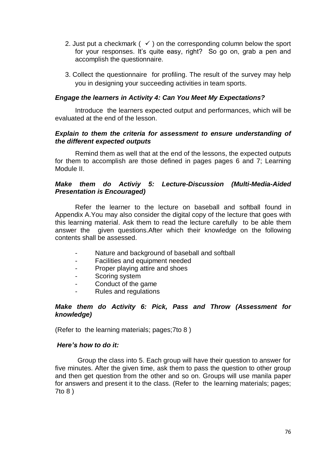- 2. Just put a checkmark ( $\checkmark$ ) on the corresponding column below the sport for your responses. It's quite easy, right? So go on, grab a pen and accomplish the questionnaire.
- 3. Collect the questionnaire for profiling. The result of the survey may help you in designing your succeeding activities in team sports.

## *Engage the learners in Activity 4: Can You Meet My Expectations?*

Introduce the learners expected output and performances, which will be evaluated at the end of the lesson.

### *Explain to them the criteria for assessment to ensure understanding of the different expected outputs*

Remind them as well that at the end of the lessons, the expected outputs for them to accomplish are those defined in pages pages 6 and 7; Learning Module II.

## *Make them do Activiy 5: Lecture-Discussion (Multi-Media-Aided Presentation is Encouraged)*

Refer the learner to the lecture on baseball and softball found in Appendix A.You may also consider the digital copy of the lecture that goes with this learning material. Ask them to read the lecture carefully to be able them answer the given questions.After which their knowledge on the following contents shall be assessed.

- Nature and background of baseball and softball
- Facilities and equipment needed
- Proper playing attire and shoes
- Scoring system
- Conduct of the game
- Rules and regulations

## *Make them do Activity 6: Pick, Pass and Throw (Assessment for knowledge)*

(Refer to the learning materials; pages;7to 8 )

#### *Here's how to do it:*

 Group the class into 5. Each group will have their question to answer for five minutes. After the given time, ask them to pass the question to other group and then get question from the other and so on. Groups will use manila paper for answers and present it to the class. (Refer to the learning materials; pages; 7to 8 )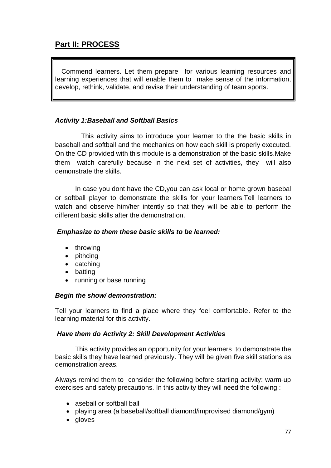# **Part II: PROCESS**

Commend learners. Let them prepare for various learning resources and learning experiences that will enable them to make sense of the information, develop, rethink, validate, and revise their understanding of team sports.

## *Activity 1:Baseball and Softball Basics*

 This activity aims to introduce your learner to the the basic skills in baseball and softball and the mechanics on how each skill is properly executed. On the CD provided with this module is a demonstration of the basic skills.Make them watch carefully because in the next set of activities, they will also demonstrate the skills.

In case you dont have the CD,you can ask local or home grown basebal or softball player to demonstrate the skills for your learners.Tell learners to watch and observe him/her intently so that they will be able to perform the different basic skills after the demonstration.

## *Emphasize to them these basic skills to be learned:*

- $\bullet$  throwing
- pithcing
- $\bullet$  catching
- batting
- running or base running

## *Begin the show/ demonstration:*

Tell your learners to find a place where they feel comfortable. Refer to the learning material for this activity.

## *Have them do Activity 2: Skill Development Activities*

This activity provides an opportunity for your learners to demonstrate the basic skills they have learned previously. They will be given five skill stations as demonstration areas.

Always remind them to consider the following before starting activity: warm-up exercises and safety precautions. In this activity they will need the following :

- aseball or softball ball
- playing area (a baseball/softball diamond/improvised diamond/gym)
- gloves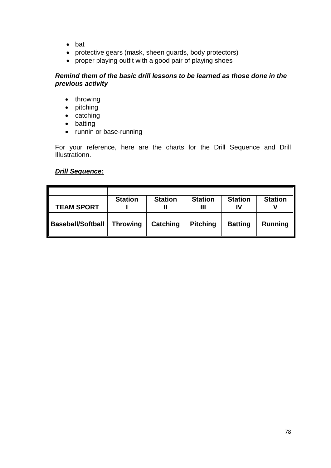- bat
- protective gears (mask, sheen guards, body protectors)
- proper playing outfit with a good pair of playing shoes

## *Remind them of the basic drill lessons to be learned as those done in the previous activity*

- throwing
- pitching
- catching
- batting
- runnin or base-running

For your reference, here are the charts for the Drill Sequence and Drill Illustrationn.

## *Drill Sequence:*

|                          | <b>Station</b>  | <b>Station</b>  | <b>Station</b>  | <b>Station</b> | <b>Station</b> |
|--------------------------|-----------------|-----------------|-----------------|----------------|----------------|
| <b>TEAM SPORT</b>        |                 |                 | Ш               | IV             |                |
| <b>Baseball/Softball</b> | <b>Throwing</b> | <b>Catching</b> | <b>Pitching</b> | <b>Batting</b> | <b>Running</b> |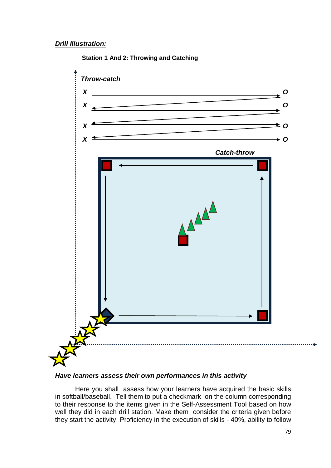## *Drill Illustration:*



### **Station 1 And 2: Throwing and Catching**

#### *Have learners assess their own performances in this activity*

Here you shall assess how your learners have acquired the basic skills in softball/baseball. Tell them to put a checkmark on the column corresponding to their response to the items given in the Self-Assessment Tool based on how well they did in each drill station. Make them consider the criteria given before they start the activity. Proficiency in the execution of skills - 40%, ability to follow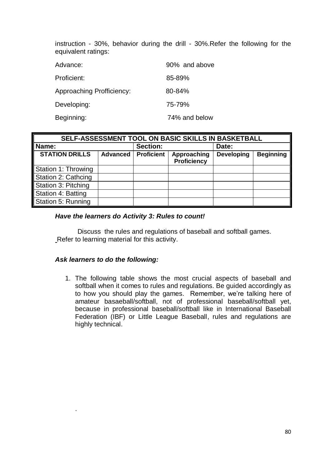instruction - 30%, behavior during the drill - 30%.Refer the following for the equivalent ratings:

| Advance:                         | 90% and above |
|----------------------------------|---------------|
| Proficient:                      | 85-89%        |
| <b>Approaching Profficiency:</b> | $80 - 84%$    |
| Developing:                      | 75-79%        |
| Beginning:                       | 74% and below |

| SELF-ASSESSMENT TOOL ON BASIC SKILLS IN BASKETBALL |                 |                   |                                   |                   |                  |
|----------------------------------------------------|-----------------|-------------------|-----------------------------------|-------------------|------------------|
| Name:                                              |                 | <b>Section:</b>   |                                   | Date:             |                  |
| <b>STATION DRILLS</b>                              | <b>Advanced</b> | <b>Proficient</b> | Approaching<br><b>Proficiency</b> | <b>Developing</b> | <b>Beginning</b> |
| Station 1: Throwing                                |                 |                   |                                   |                   |                  |
| Station 2: Cathcing                                |                 |                   |                                   |                   |                  |
| Station 3: Pitching                                |                 |                   |                                   |                   |                  |
| Station 4: Batting                                 |                 |                   |                                   |                   |                  |
| Station 5: Running                                 |                 |                   |                                   |                   |                  |

## *Have the learners do Activity 3: Rules to count!*

Discuss the rules and regulations of baseball and softball games. Refer to learning material for this activity.

## *Ask learners to do the following:*

.

1. The following table shows the most crucial aspects of baseball and softball when it comes to rules and regulations. Be guided accordingly as to how you should play the games. Remember, we're talking here of amateur basaeball/softball, not of professional baseball/softball yet, because in professional baseball/softball like in International Baseball Federation (IBF) or Little League Baseball, rules and regulations are highly technical.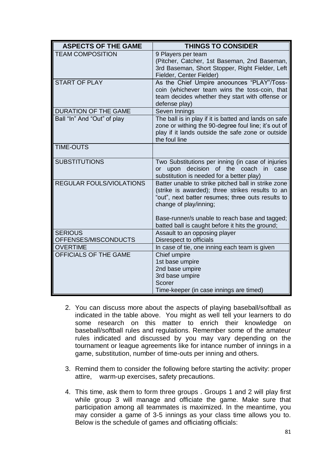| <b>ASPECTS OF THE GAME</b>             | <b>THINGS TO CONSIDER</b>                                                                                                                                                              |
|----------------------------------------|----------------------------------------------------------------------------------------------------------------------------------------------------------------------------------------|
| <b>TEAM COMPOSITION</b>                | 9 Players per team<br>(Pitcher, Catcher, 1st Baseman, 2nd Baseman,<br>3rd Baseman, Short Stopper, Right Fielder, Left<br>Fielder, Center Fielder)                                      |
| <b>START OF PLAY</b>                   | As the Chief Umpire anoounces "PLAY"/Toss-<br>coin (whichever team wins the toss-coin, that<br>team decides whether they start with offense or<br>defense play)                        |
| <b>DURATION OF THE GAME</b>            | Seven Innings                                                                                                                                                                          |
| Ball "In" And "Out" of play            | The ball is in play if it is batted and lands on safe<br>zone or withing the 90-degree foul line; it's out of<br>play if it lands outside the safe zone or outside<br>the foul line    |
| <b>TIME-OUTS</b>                       |                                                                                                                                                                                        |
| <b>SUBSTITUTIONS</b>                   | Two Substitutions per inning (in case of injuries<br>decision of the coach in case<br>or upon<br>substitution is needed for a better play)                                             |
| <b>REGULAR FOULS/VIOLATIONS</b>        | Batter unable to strike pitched ball in strike zone<br>(strike is awarded); three strikes results to an<br>"out", next batter resumes; three outs results to<br>change of play/inning; |
|                                        | Base-runner/s unable to reach base and tagged;<br>batted ball is caught before it hits the ground;                                                                                     |
| <b>SERIOUS</b><br>OFFENSES/MISCONDUCTS | Assault to an opposing player<br>Disrespect to officials                                                                                                                               |
| <b>OVERTIME</b>                        | In case of tie, one inning each team is given                                                                                                                                          |
| OFFICIALS OF THE GAME                  | Chief umpire<br>1st base umpire<br>2nd base umpire<br>3rd base umpire<br>Scorer                                                                                                        |
|                                        | Time-keeper (in case innings are timed)                                                                                                                                                |

- 2. You can discuss more about the aspects of playing baseball/softball as indicated in the table above. You might as well tell your learners to do some research on this matter to enrich their knowledge on baseball/softball rules and regulations. Remember some of the amateur rules indicated and discussed by you may vary depending on the tournament or league agreements like for intance number of innings in a game, substitution, number of time-outs per inning and others.
- 3. Remind them to consider the following before starting the activity: proper attire, warm-up exercises, safety precautions.
- 4. This time, ask them to form three groups . Groups 1 and 2 will play first while group 3 will manage and officiate the game. Make sure that participation among all teammates is maximized. In the meantime, you may consider a game of 3-5 innings as your class time allows you to. Below is the schedule of games and officiating officials: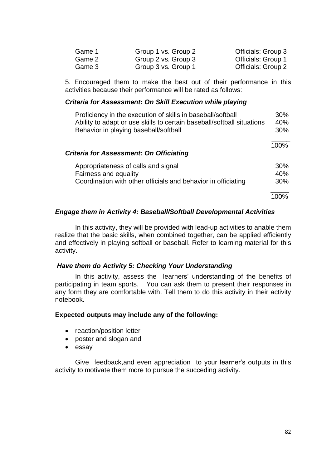| Game 1 | Group 1 vs. Group 2 | Officials: Group 3 |
|--------|---------------------|--------------------|
| Game 2 | Group 2 vs. Group 3 | Officials: Group 1 |
| Game 3 | Group 3 vs. Group 1 | Officials: Group 2 |

5. Encouraged them to make the best out of their performance in this activities because their performance will be rated as follows:

#### *Criteria for Assessment: On Skill Execution while playing*

| Proficiency in the execution of skills in baseball/softball<br>Ability to adapt or use skills to certain baseball/softball situations | 30%<br>40% |
|---------------------------------------------------------------------------------------------------------------------------------------|------------|
| Behavior in playing baseball/softball                                                                                                 | 30%        |
|                                                                                                                                       | 100%       |
| <b>Criteria for Assessment: On Officiating</b>                                                                                        |            |
| Appropriateness of calls and signal                                                                                                   | 30%        |
| Fairness and equality                                                                                                                 | 40%        |
| Coordination with other officials and behavior in officiating                                                                         | 30%        |
|                                                                                                                                       | 100%       |

## *Engage them in Activity 4: Baseball/Softball Developmental Activities*

In this activity, they will be provided with lead-up activities to anable them realize that the basic skills, when combined together, can be applied efficiently and effectively in playing softball or baseball. Refer to learning material for this activity.

## *Have them do Activity 5: Checking Your Understanding*

In this activity, assess the learners' understanding of the benefits of participating in team sports. You can ask them to present their responses in any form they are comfortable with. Tell them to do this activity in their activity notebook.

#### **Expected outputs may include any of the following:**

- reaction/position letter
- poster and slogan and
- essay

Give feedback,and even appreciation to your learner's outputs in this activity to motivate them more to pursue the succeding activity.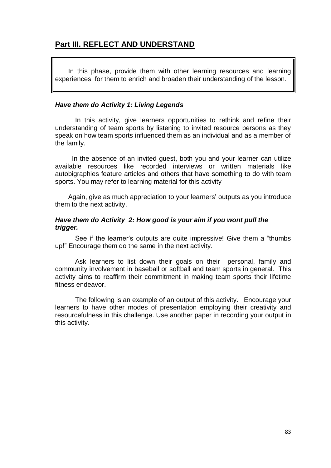## **Part III. REFLECT AND UNDERSTAND**

 In this phase, provide them with other learning resources and learning experiences for them to enrich and broaden their understanding of the lesson.

### *Have them do Activity 1: Living Legends*

In this activity, give learners opportunities to rethink and refine their understanding of team sports by listening to invited resource persons as they speak on how team sports influenced them as an individual and as a member of the family.

 In the absence of an invited guest, both you and your learner can utilize available resources like recorded interviews or written materials like autobigraphies feature articles and others that have something to do with team sports. You may refer to learning material for this activity

 Again, give as much appreciation to your learners' outputs as you introduce them to the next activity.

# *Have them do Activity 2: How good is your aim if you wont pull the trigger.*

See if the learner's outputs are quite impressive! Give them a "thumbs up!" Encourage them do the same in the next activity.

Ask learners to list down their goals on their personal, family and community involvement in baseball or softball and team sports in general. This activity aims to reaffirm their commitment in making team sports their lifetime fitness endeavor.

The following is an example of an output of this activity. Encourage your learners to have other modes of presentation employing their creativity and resourcefulness in this challenge. Use another paper in recording your output in this activity.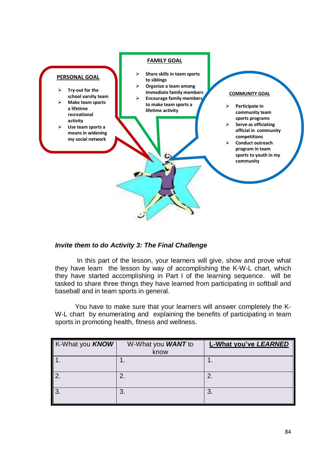![](_page_12_Figure_0.jpeg)

## *Invite them to do Activity 3: The Final Challenge*

In this part of the lesson, your learners will give, show and prove what they have learn the lesson by way of accomplishing the K-W-L chart, which they have started accomplishing in Part I of the learning sequence. will be tasked to share three things they have learned from participating in softball and baseball and in team sports in general.

You have to make sure that your learners will answer completely the K-W-L chart by enumerating and explaining the benefits of participating in team sports in promoting health, fitness and wellness.

| K-What you <b>KNOW</b> | W-What you <b>WANT</b> to | <b>L-What you've LEARNED</b> |
|------------------------|---------------------------|------------------------------|
|                        | know                      |                              |
|                        |                           |                              |
| ာ                      | 2.                        | 2.                           |
| l 3.                   | 3.                        | 3                            |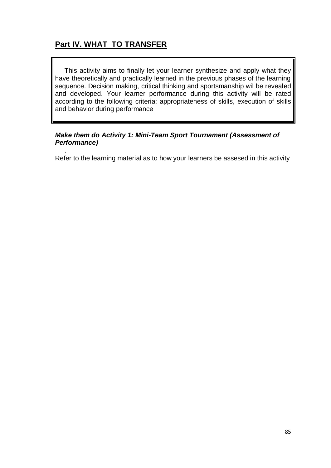# **Part IV. WHAT TO TRANSFER**

 This activity aims to finally let your learner synthesize and apply what they have theoretically and practically learned in the previous phases of the learning sequence. Decision making, critical thinking and sportsmanship wil be revealed and developed. Your learner performance during this activity will be rated according to the following criteria: appropriateness of skills, execution of skills and behavior during performance

## *Make them do Activity 1: Mini-Team Sport Tournament (Assessment of Performance)*

 . Refer to the learning material as to how your learners be assesed in this activity